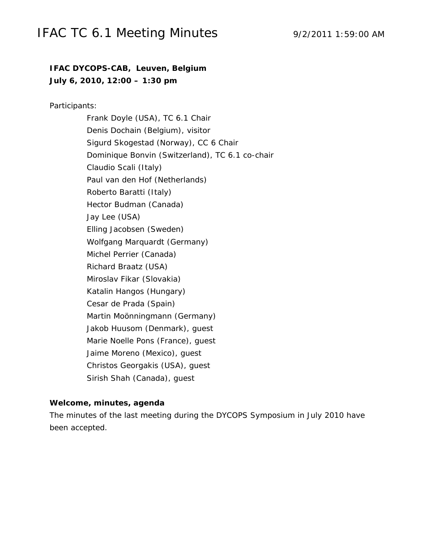### IFAC TC 6.1 Meeting Minutes 9/2/2011 1:59:00 AM

### **IFAC DYCOPS-CAB, Leuven, Belgium July 6, 2010, 12:00 – 1:30 pm**

Participants:

Frank Doyle (USA), TC 6.1 Chair Denis Dochain (Belgium), visitor Sigurd Skogestad (Norway), CC 6 Chair Dominique Bonvin (Switzerland), TC 6.1 co-chair Claudio Scali (Italy) Paul van den Hof (Netherlands) Roberto Baratti (Italy) Hector Budman (Canada) Jay Lee (USA) Elling Jacobsen (Sweden) Wolfgang Marquardt (Germany) Michel Perrier (Canada) Richard Braatz (USA) Miroslav Fikar (Slovakia) Katalin Hangos (Hungary) Cesar de Prada (Spain) Martin Moönningmann (Germany) Jakob Huusom (Denmark), guest Marie Noelle Pons (France), guest Jaime Moreno (Mexico), guest Christos Georgakis (USA), guest Sirish Shah (Canada), guest

#### **Welcome, minutes, agenda**

The minutes of the last meeting during the DYCOPS Symposium in July 2010 have been accepted.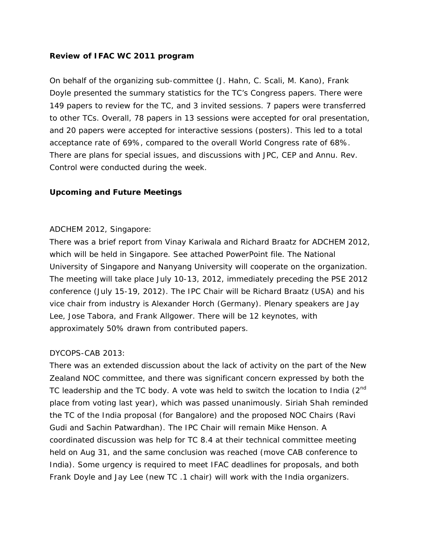### **Review of IFAC WC 2011 program**

On behalf of the organizing sub-committee (J. Hahn, C. Scali, M. Kano), Frank Doyle presented the summary statistics for the TC's Congress papers. There were 149 papers to review for the TC, and 3 invited sessions. 7 papers were transferred to other TCs. Overall, 78 papers in 13 sessions were accepted for oral presentation, and 20 papers were accepted for interactive sessions (posters). This led to a total acceptance rate of 69%, compared to the overall World Congress rate of 68%. There are plans for special issues, and discussions with *JPC*, *CEP* and *Annu. Rev. Control* were conducted during the week.

### **Upcoming and Future Meetings**

### ADCHEM 2012, Singapore:

There was a brief report from Vinay Kariwala and Richard Braatz for ADCHEM 2012, which will be held in Singapore. See attached PowerPoint file. The National University of Singapore and Nanyang University will cooperate on the organization. The meeting will take place July 10-13, 2012, immediately preceding the PSE 2012 conference (July 15-19, 2012). The IPC Chair will be Richard Braatz (USA) and his vice chair from industry is Alexander Horch (Germany). Plenary speakers are Jay Lee, Jose Tabora, and Frank Allgower. There will be 12 keynotes, with approximately 50% drawn from contributed papers.

#### DYCOPS-CAB 2013:

There was an extended discussion about the lack of activity on the part of the New Zealand NOC committee, and there was significant concern expressed by both the TC leadership and the TC body. A vote was held to switch the location to India  $(2^{nd}$ place from voting last year), which was passed unanimously. Siriah Shah reminded the TC of the India proposal (for Bangalore) and the proposed NOC Chairs (Ravi Gudi and Sachin Patwardhan). The IPC Chair will remain Mike Henson. A coordinated discussion was help for TC 8.4 at their technical committee meeting held on Aug 31, and the same conclusion was reached (move CAB conference to India). Some urgency is required to meet IFAC deadlines for proposals, and both Frank Doyle and Jay Lee (new TC .1 chair) will work with the India organizers.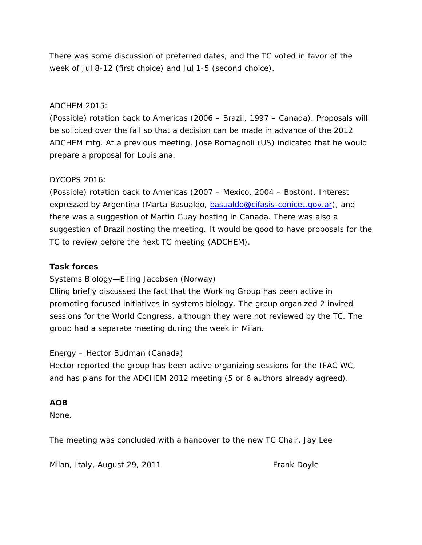There was some discussion of preferred dates, and the TC voted in favor of the week of Jul 8-12 (first choice) and Jul 1-5 (second choice).

#### ADCHEM 2015:

(Possible) rotation back to Americas (2006 – Brazil, 1997 – Canada). Proposals will be solicited over the fall so that a decision can be made in advance of the 2012 ADCHEM mtg. At a previous meeting, Jose Romagnoli (US) indicated that he would prepare a proposal for Louisiana.

#### DYCOPS 2016:

(Possible) rotation back to Americas (2007 – Mexico, 2004 – Boston). Interest expressed by Argentina (Marta Basualdo, basualdo@cifasis-conicet.gov.ar), and there was a suggestion of Martin Guay hosting in Canada. There was also a suggestion of Brazil hosting the meeting. It would be good to have proposals for the TC to review before the next TC meeting (ADCHEM).

### **Task forces**

Systems Biology—Elling Jacobsen (Norway)

Elling briefly discussed the fact that the Working Group has been active in promoting focused initiatives in systems biology. The group organized 2 invited sessions for the World Congress, although they were not reviewed by the TC. The group had a separate meeting during the week in Milan.

#### Energy – Hector Budman (Canada)

Hector reported the group has been active organizing sessions for the IFAC WC, and has plans for the ADCHEM 2012 meeting (5 or 6 authors already agreed).

#### **AOB**

None.

The meeting was concluded with a handover to the new TC Chair, Jay Lee

Milan, Italy, August 29, 2011 **Frank Doyle**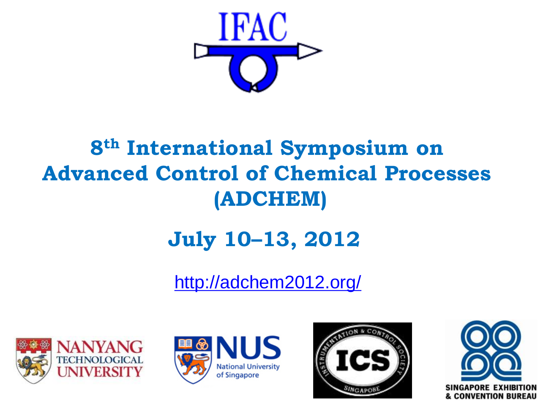

# **8th International Symposium on Advanced Control of Chemical Processes (ADCHEM)**

# **July 10–13, 2012**

<http://adchem2012.org/>







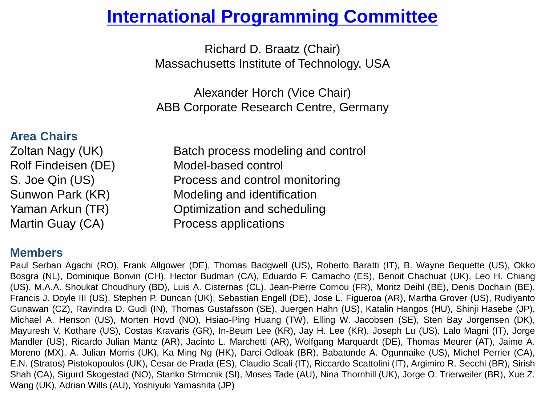# **[International Programming Committee](http://adchem2012.org/index.php?option=com_content&view=article&id=85:national-organizing-committee&catid=40:organisers&Itemid=208)**

Richard D. Braatz (Chair) Massachusetts Institute of Technology, USA

Alexander Horch (Vice Chair) ABB Corporate Research Centre, Germany

### **Area Chairs**

Zoltan Nagy (UK) Batch process modeling and control Rolf Findeisen (DE) Model-based control S. Joe Qin (US) Process and control monitoring Sunwon Park (KR) Modeling and identification Yaman Arkun (TR) Optimization and scheduling Martin Guay (CA) Process applications

### **Members**

Paul Serban Agachi (RO), Frank Allgower (DE), Thomas Badgwell (US), Roberto Baratti (IT), B. Wayne Bequette (US), Okko Bosgra (NL), Dominique Bonvin (CH), Hector Budman (CA), Eduardo F. Camacho (ES), Benoit Chachuat (UK), Leo H. Chiang (US), M.A.A. Shoukat Choudhury (BD), Luis A. Cisternas (CL), Jean-Pierre Corriou (FR), Moritz Deihl (BE), Denis Dochain (BE), Francis J. Doyle III (US), Stephen P. Duncan (UK), Sebastian Engell (DE), Jose L. Figueroa (AR), Martha Grover (US), Rudiyanto Gunawan (CZ), Ravindra D. Gudi (IN), Thomas Gustafsson (SE), Juergen Hahn (US), Katalin Hangos (HU), Shinji Hasebe (JP), Michael A. Henson (US), Morten Hovd (NO), Hsiao-Ping Huang (TW), Elling W. Jacobsen (SE), Sten Bay Jorgensen (DK), Mayuresh V. Kothare (US), Costas Kravaris (GR), In-Beum Lee (KR), Jay H. Lee (KR), Joseph Lu (US), Lalo Magni (IT), Jorge Mandler (US), Ricardo Julian Mantz (AR), Jacinto L. Marchetti (AR), Wolfgang Marquardt (DE), Thomas Meurer (AT), Jaime A. Moreno (MX), A. Julian Morris (UK), Ka Ming Ng (HK), Darci Odloak (BR), Babatunde A. Ogunnaike (US), Michel Perrier (CA), E.N. (Stratos) Pistokopoulos (UK), Cesar de Prada (ES), Claudio Scali (IT), Riccardo Scattolini (IT), Argimiro R. Secchi (BR), Sirish Shah (CA), Sigurd Skogestad (NO), Stanko Strmcnik (SI), Moses Tade (AU), Nina Thornhill (UK), Jorge O. Trierweiler (BR), Xue Z. Wang (UK), Adrian Wills (AU), Yoshiyuki Yamashita (JP)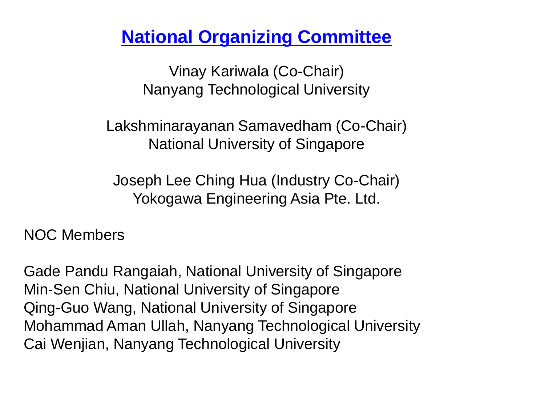# **[National Organizing Committee](http://adchem2012.org/index.php?option=com_content&view=article&id=85:national-organizing-committee&catid=40:organisers&Itemid=208)**

Vinay Kariwala (Co-Chair) Nanyang Technological University

Lakshminarayanan Samavedham (Co-Chair) National University of Singapore

Joseph Lee Ching Hua (Industry Co-Chair) Yokogawa Engineering Asia Pte. Ltd.

NOC Members

Gade Pandu Rangaiah, National University of Singapore Min-Sen Chiu, National University of Singapore Qing-Guo Wang, National University of Singapore Mohammad Aman Ullah, Nanyang Technological University Cai Wenjian, Nanyang Technological University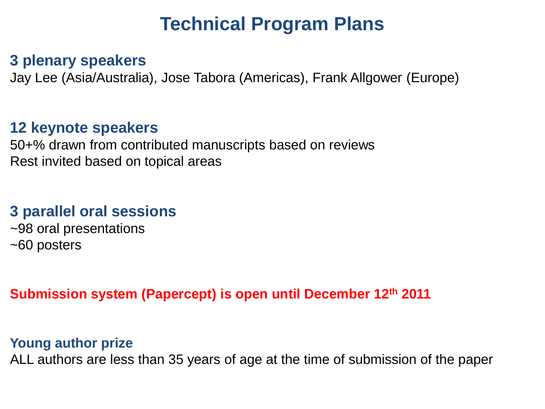# **Technical Program Plans**

### **3 plenary speakers**

Jay Lee (Asia/Australia), Jose Tabora (Americas), Frank Allgower (Europe)

### **12 keynote speakers**

50+% drawn from contributed manuscripts based on reviews Rest invited based on topical areas

## **3 parallel oral sessions**

~98 oral presentations ~60 posters

### **Submission system (Papercept) is open until December 12th 2011**

### **Young author prize**

ALL authors are less than 35 years of age at the time of submission of the paper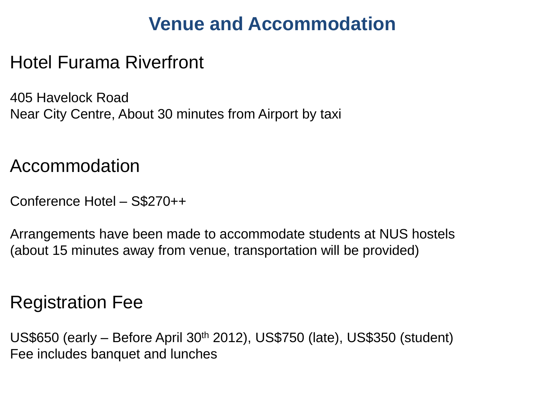# **Venue and Accommodation**

# Hotel Furama Riverfront

405 Havelock Road Near City Centre, About 30 minutes from Airport by taxi

Accommodation

Conference Hotel – S\$270++

Arrangements have been made to accommodate students at NUS hostels (about 15 minutes away from venue, transportation will be provided)

## Registration Fee

US\$650 (early – Before April 30th 2012), US\$750 (late), US\$350 (student) Fee includes banquet and lunches